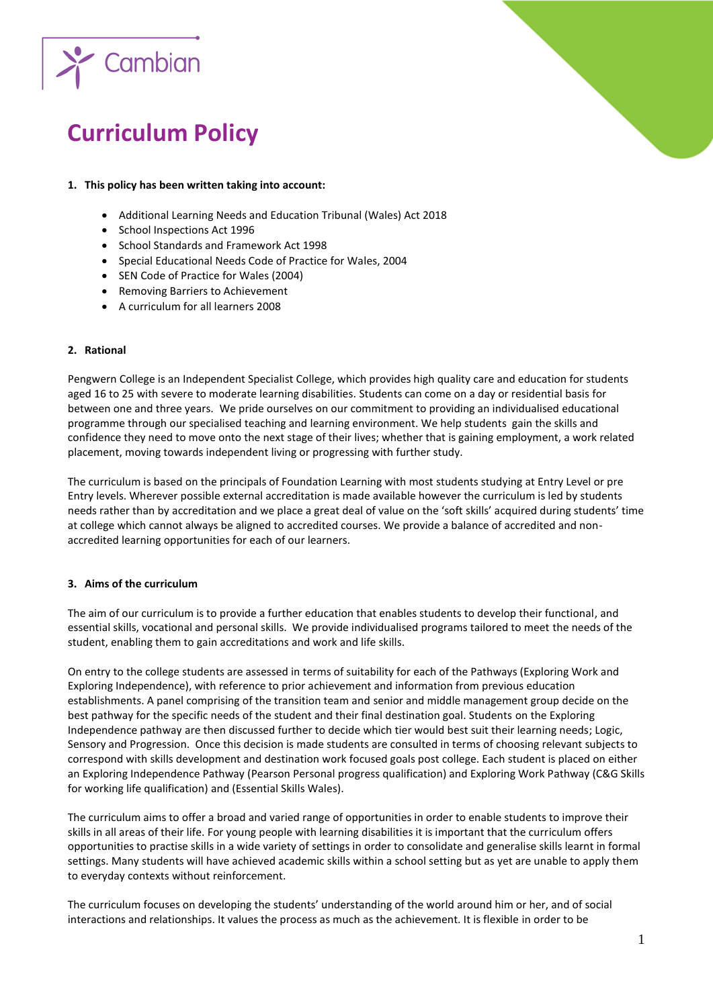

# **Curriculum Policy**

## **1. This policy has been written taking into account:**

- Additional Learning Needs and Education Tribunal (Wales) Act 2018
- School Inspections Act 1996
- School Standards and Framework Act 1998
- Special Educational Needs Code of Practice for Wales, 2004
- SEN Code of Practice for Wales (2004)
- Removing Barriers to Achievement
- A curriculum for all learners 2008

## **2. Rational**

Pengwern College is an Independent Specialist College, which provides high quality care and education for students aged 16 to 25 with severe to moderate learning disabilities. Students can come on a day or residential basis for between one and three years. We pride ourselves on our commitment to providing an individualised educational programme through our specialised teaching and learning environment. We help students gain the skills and confidence they need to move onto the next stage of their lives; whether that is gaining employment, a work related placement, moving towards independent living or progressing with further study.

The curriculum is based on the principals of Foundation Learning with most students studying at Entry Level or pre Entry levels. Wherever possible external accreditation is made available however the curriculum is led by students needs rather than by accreditation and we place a great deal of value on the 'soft skills' acquired during students' time at college which cannot always be aligned to accredited courses. We provide a balance of accredited and nonaccredited learning opportunities for each of our learners.

## **3. Aims of the curriculum**

The aim of our curriculum is to provide a further education that enables students to develop their functional, and essential skills, vocational and personal skills. We provide individualised programs tailored to meet the needs of the student, enabling them to gain accreditations and work and life skills.

On entry to the college students are assessed in terms of suitability for each of the Pathways (Exploring Work and Exploring Independence), with reference to prior achievement and information from previous education establishments. A panel comprising of the transition team and senior and middle management group decide on the best pathway for the specific needs of the student and their final destination goal. Students on the Exploring Independence pathway are then discussed further to decide which tier would best suit their learning needs; Logic, Sensory and Progression. Once this decision is made students are consulted in terms of choosing relevant subjects to correspond with skills development and destination work focused goals post college. Each student is placed on either an Exploring Independence Pathway (Pearson Personal progress qualification) and Exploring Work Pathway (C&G Skills for working life qualification) and (Essential Skills Wales).

The curriculum aims to offer a broad and varied range of opportunities in order to enable students to improve their skills in all areas of their life. For young people with learning disabilities it is important that the curriculum offers opportunities to practise skills in a wide variety of settings in order to consolidate and generalise skills learnt in formal settings. Many students will have achieved academic skills within a school setting but as yet are unable to apply them to everyday contexts without reinforcement.

The curriculum focuses on developing the students' understanding of the world around him or her, and of social interactions and relationships. It values the process as much as the achievement. It is flexible in order to be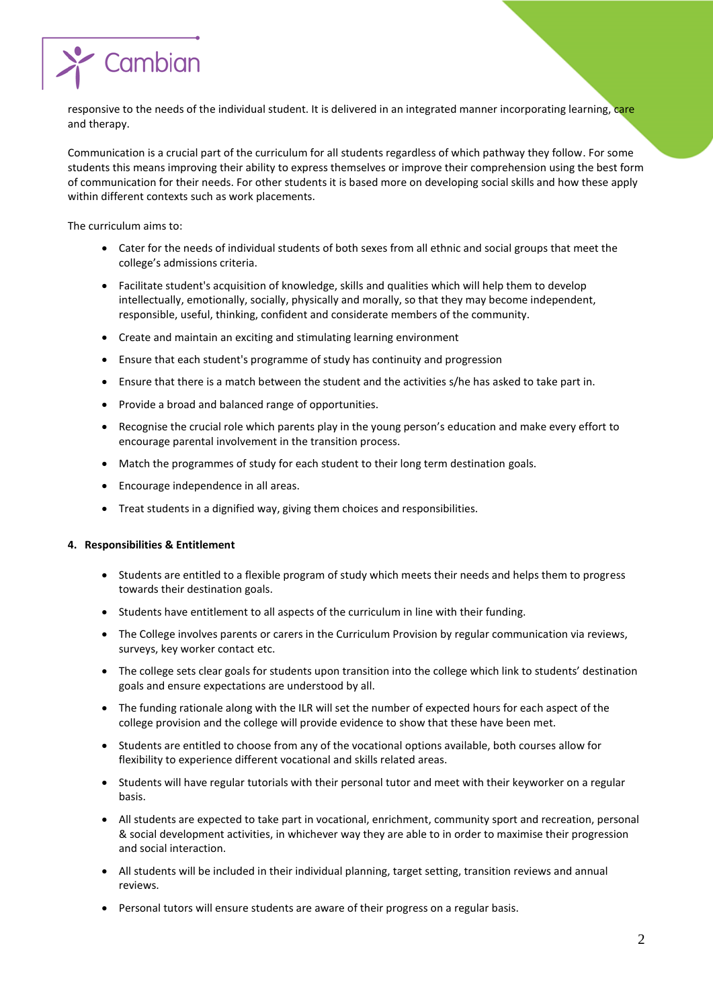

responsive to the needs of the individual student. It is delivered in an integrated manner incorporating learning, care and therapy.

Communication is a crucial part of the curriculum for all students regardless of which pathway they follow. For some students this means improving their ability to express themselves or improve their comprehension using the best form of communication for their needs. For other students it is based more on developing social skills and how these apply within different contexts such as work placements.

The curriculum aims to:

- Cater for the needs of individual students of both sexes from all ethnic and social groups that meet the college's admissions criteria.
- Facilitate student's acquisition of knowledge, skills and qualities which will help them to develop intellectually, emotionally, socially, physically and morally, so that they may become independent, responsible, useful, thinking, confident and considerate members of the community.
- Create and maintain an exciting and stimulating learning environment
- Ensure that each student's programme of study has continuity and progression
- Ensure that there is a match between the student and the activities s/he has asked to take part in.
- Provide a broad and balanced range of opportunities.
- Recognise the crucial role which parents play in the young person's education and make every effort to encourage parental involvement in the transition process.
- Match the programmes of study for each student to their long term destination goals.
- Encourage independence in all areas.
- Treat students in a dignified way, giving them choices and responsibilities.

#### **4. Responsibilities & Entitlement**

- Students are entitled to a flexible program of study which meets their needs and helps them to progress towards their destination goals.
- Students have entitlement to all aspects of the curriculum in line with their funding.
- The College involves parents or carers in the Curriculum Provision by regular communication via reviews, surveys, key worker contact etc.
- The college sets clear goals for students upon transition into the college which link to students' destination goals and ensure expectations are understood by all.
- The funding rationale along with the ILR will set the number of expected hours for each aspect of the college provision and the college will provide evidence to show that these have been met.
- Students are entitled to choose from any of the vocational options available, both courses allow for flexibility to experience different vocational and skills related areas.
- Students will have regular tutorials with their personal tutor and meet with their keyworker on a regular basis.
- All students are expected to take part in vocational, enrichment, community sport and recreation, personal & social development activities, in whichever way they are able to in order to maximise their progression and social interaction.
- All students will be included in their individual planning, target setting, transition reviews and annual reviews.
- Personal tutors will ensure students are aware of their progress on a regular basis.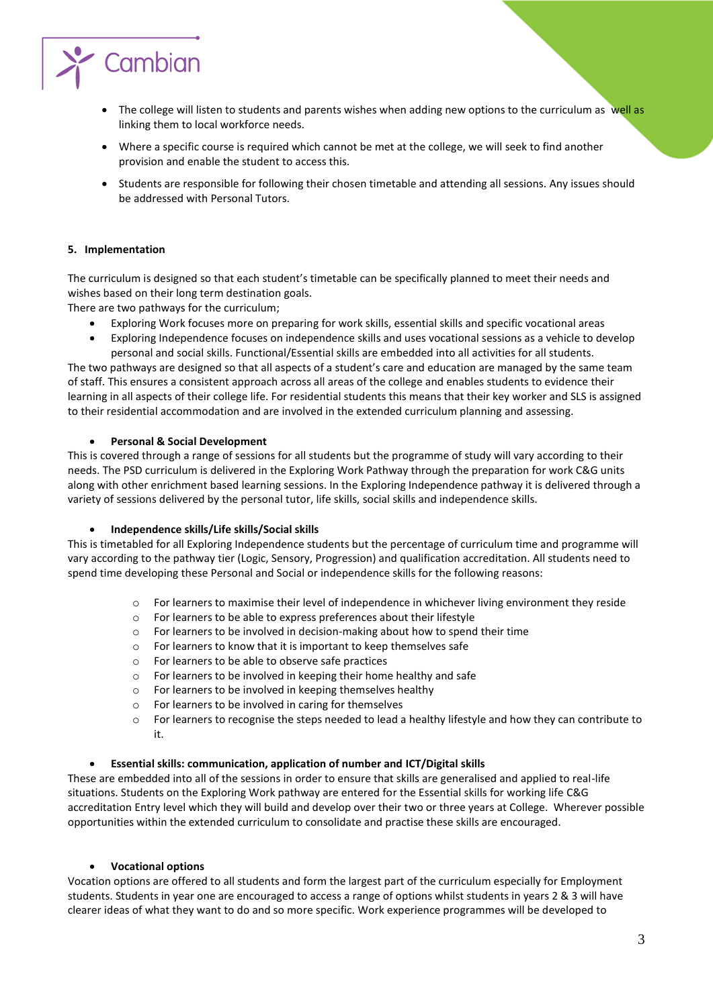

- The college will listen to students and parents wishes when adding new options to the curriculum as well as linking them to local workforce needs.
- Where a specific course is required which cannot be met at the college, we will seek to find another provision and enable the student to access this.
- Students are responsible for following their chosen timetable and attending all sessions. Any issues should be addressed with Personal Tutors.

# **5. Implementation**

The curriculum is designed so that each student's timetable can be specifically planned to meet their needs and wishes based on their long term destination goals.

There are two pathways for the curriculum;

- Exploring Work focuses more on preparing for work skills, essential skills and specific vocational areas
- Exploring Independence focuses on independence skills and uses vocational sessions as a vehicle to develop personal and social skills. Functional/Essential skills are embedded into all activities for all students.

The two pathways are designed so that all aspects of a student's care and education are managed by the same team of staff. This ensures a consistent approach across all areas of the college and enables students to evidence their learning in all aspects of their college life. For residential students this means that their key worker and SLS is assigned to their residential accommodation and are involved in the extended curriculum planning and assessing.

## **Personal & Social Development**

This is covered through a range of sessions for all students but the programme of study will vary according to their needs. The PSD curriculum is delivered in the Exploring Work Pathway through the preparation for work C&G units along with other enrichment based learning sessions. In the Exploring Independence pathway it is delivered through a variety of sessions delivered by the personal tutor, life skills, social skills and independence skills.

## **Independence skills/Life skills/Social skills**

This is timetabled for all Exploring Independence students but the percentage of curriculum time and programme will vary according to the pathway tier (Logic, Sensory, Progression) and qualification accreditation. All students need to spend time developing these Personal and Social or independence skills for the following reasons:

- o For learners to maximise their level of independence in whichever living environment they reside
- o For learners to be able to express preferences about their lifestyle
- o For learners to be involved in decision-making about how to spend their time
- o For learners to know that it is important to keep themselves safe
- o For learners to be able to observe safe practices
- o For learners to be involved in keeping their home healthy and safe
- o For learners to be involved in keeping themselves healthy
- o For learners to be involved in caring for themselves
- o For learners to recognise the steps needed to lead a healthy lifestyle and how they can contribute to it.

## **Essential skills: communication, application of number and ICT/Digital skills**

These are embedded into all of the sessions in order to ensure that skills are generalised and applied to real-life situations. Students on the Exploring Work pathway are entered for the Essential skills for working life C&G accreditation Entry level which they will build and develop over their two or three years at College. Wherever possible opportunities within the extended curriculum to consolidate and practise these skills are encouraged.

#### **Vocational options**

Vocation options are offered to all students and form the largest part of the curriculum especially for Employment students. Students in year one are encouraged to access a range of options whilst students in years 2 & 3 will have clearer ideas of what they want to do and so more specific. Work experience programmes will be developed to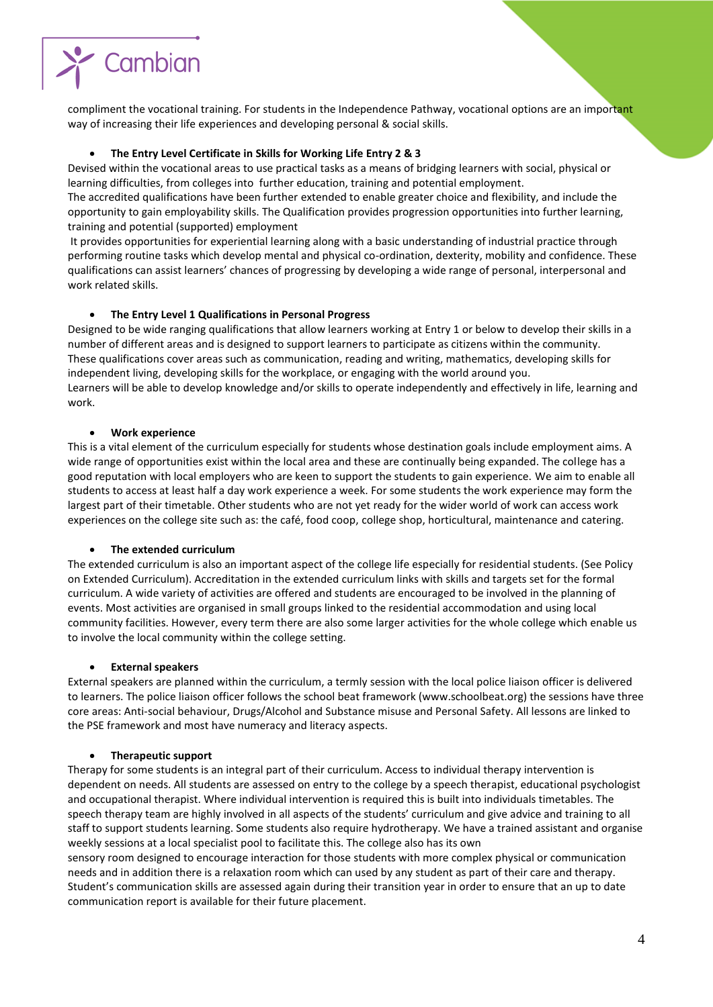

compliment the vocational training. For students in the Independence Pathway, vocational options are an important way of increasing their life experiences and developing personal & social skills.

## **The Entry Level Certificate in Skills for Working Life Entry 2 & 3**

Devised within the vocational areas to use practical tasks as a means of bridging learners with social, physical or learning difficulties, from colleges into further education, training and potential employment.

The accredited qualifications have been further extended to enable greater choice and flexibility, and include the opportunity to gain employability skills. The Qualification provides progression opportunities into further learning, training and potential (supported) employment

It provides opportunities for experiential learning along with a basic understanding of industrial practice through performing routine tasks which develop mental and physical co-ordination, dexterity, mobility and confidence. These qualifications can assist learners' chances of progressing by developing a wide range of personal, interpersonal and work related skills.

# **The Entry Level 1 Qualifications in Personal Progress**

Designed to be wide ranging qualifications that allow learners working at Entry 1 or below to develop their skills in a number of different areas and is designed to support learners to participate as citizens within the community. These qualifications cover areas such as communication, reading and writing, mathematics, developing skills for independent living, developing skills for the workplace, or engaging with the world around you. Learners will be able to develop knowledge and/or skills to operate independently and effectively in life, learning and work.

## **Work experience**

This is a vital element of the curriculum especially for students whose destination goals include employment aims. A wide range of opportunities exist within the local area and these are continually being expanded. The college has a good reputation with local employers who are keen to support the students to gain experience. We aim to enable all students to access at least half a day work experience a week. For some students the work experience may form the largest part of their timetable. Other students who are not yet ready for the wider world of work can access work experiences on the college site such as: the café, food coop, college shop, horticultural, maintenance and catering.

## **The extended curriculum**

The extended curriculum is also an important aspect of the college life especially for residential students. (See Policy on Extended Curriculum). Accreditation in the extended curriculum links with skills and targets set for the formal curriculum. A wide variety of activities are offered and students are encouraged to be involved in the planning of events. Most activities are organised in small groups linked to the residential accommodation and using local community facilities. However, every term there are also some larger activities for the whole college which enable us to involve the local community within the college setting.

## **External speakers**

External speakers are planned within the curriculum, a termly session with the local police liaison officer is delivered to learners. The police liaison officer follows the school beat framework (www.schoolbeat.org) the sessions have three core areas: Anti-social behaviour, Drugs/Alcohol and Substance misuse and Personal Safety. All lessons are linked to the PSE framework and most have numeracy and literacy aspects.

## **Therapeutic support**

Therapy for some students is an integral part of their curriculum. Access to individual therapy intervention is dependent on needs. All students are assessed on entry to the college by a speech therapist, educational psychologist and occupational therapist. Where individual intervention is required this is built into individuals timetables. The speech therapy team are highly involved in all aspects of the students' curriculum and give advice and training to all staff to support students learning. Some students also require hydrotherapy. We have a trained assistant and organise weekly sessions at a local specialist pool to facilitate this. The college also has its own

sensory room designed to encourage interaction for those students with more complex physical or communication needs and in addition there is a relaxation room which can used by any student as part of their care and therapy. Student's communication skills are assessed again during their transition year in order to ensure that an up to date communication report is available for their future placement.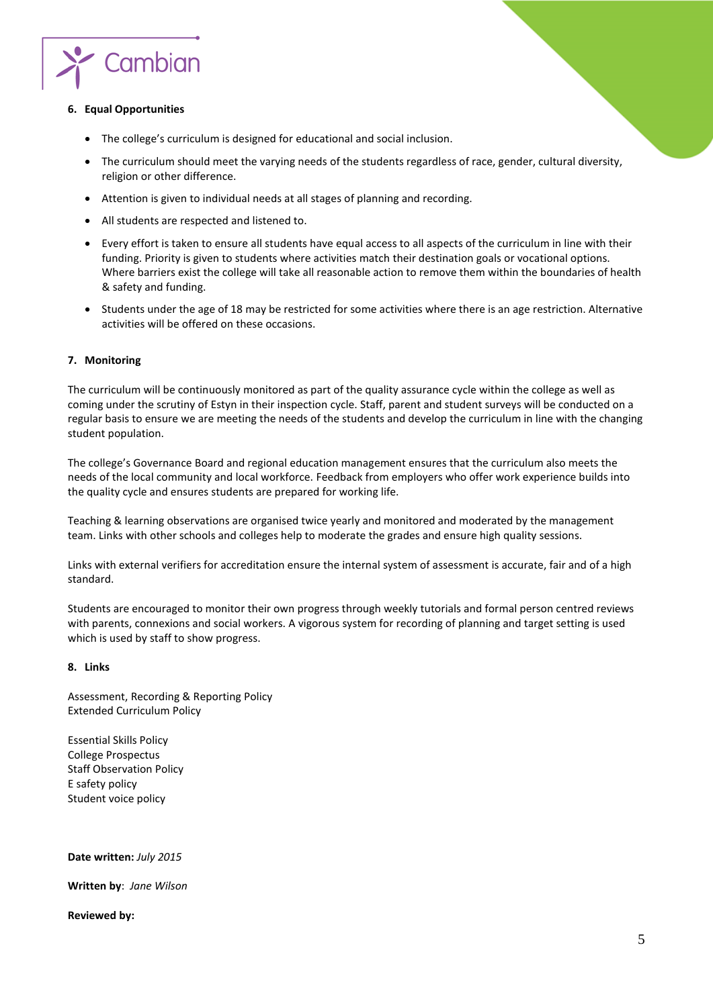

## **6. Equal Opportunities**

- The college's curriculum is designed for educational and social inclusion.
- The curriculum should meet the varying needs of the students regardless of race, gender, cultural diversity, religion or other difference.
- Attention is given to individual needs at all stages of planning and recording.
- All students are respected and listened to.
- Every effort is taken to ensure all students have equal access to all aspects of the curriculum in line with their funding. Priority is given to students where activities match their destination goals or vocational options. Where barriers exist the college will take all reasonable action to remove them within the boundaries of health & safety and funding.
- Students under the age of 18 may be restricted for some activities where there is an age restriction. Alternative activities will be offered on these occasions.

# **7. Monitoring**

The curriculum will be continuously monitored as part of the quality assurance cycle within the college as well as coming under the scrutiny of Estyn in their inspection cycle. Staff, parent and student surveys will be conducted on a regular basis to ensure we are meeting the needs of the students and develop the curriculum in line with the changing student population.

The college's Governance Board and regional education management ensures that the curriculum also meets the needs of the local community and local workforce. Feedback from employers who offer work experience builds into the quality cycle and ensures students are prepared for working life.

Teaching & learning observations are organised twice yearly and monitored and moderated by the management team. Links with other schools and colleges help to moderate the grades and ensure high quality sessions.

Links with external verifiers for accreditation ensure the internal system of assessment is accurate, fair and of a high standard.

Students are encouraged to monitor their own progress through weekly tutorials and formal person centred reviews with parents, connexions and social workers. A vigorous system for recording of planning and target setting is used which is used by staff to show progress.

## **8. Links**

Assessment, Recording & Reporting Policy Extended Curriculum Policy

Essential Skills Policy College Prospectus Staff Observation Policy E safety policy Student voice policy

**Date written:** *July 2015*

**Written by**: *Jane Wilson*

**Reviewed by:**